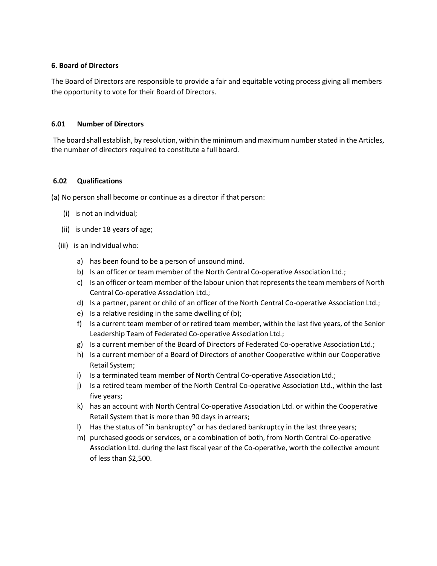# **6. Board of Directors**

The Board of Directors are responsible to provide a fair and equitable voting process giving all members the opportunity to vote for their Board of Directors.

# **6.01 Number of Directors**

The board shall establish, by resolution, within the minimum and maximum number stated in the Articles, the number of directors required to constitute a full board.

# **6.02 Qualifications**

(a) No person shall become or continue as a director if that person:

- (i) is not an individual;
- (ii) is under 18 years of age;
- (iii) is an individual who:
	- a) has been found to be a person of unsound mind.
	- b) Is an officer or team member of the North Central Co-operative Association Ltd.;
	- c) Is an officer or team member of the labour union that represents the team members of North Central Co-operative Association Ltd.;
	- d) Is a partner, parent or child of an officer of the North Central Co-operative Association Ltd.;
	- e) Is a relative residing in the same dwelling of (b);
	- f) Is a current team member of or retired team member, within the last five years, of the Senior Leadership Team of Federated Co-operative Association Ltd.;
	- g) Is a current member of the Board of Directors of Federated Co-operative Association Ltd.;
	- h) Is a current member of a Board of Directors of another Cooperative within our Cooperative Retail System;
	- i) Is a terminated team member of North Central Co-operative Association Ltd.;
	- j) Is a retired team member of the North Central Co-operative Association Ltd., within the last five years;
	- k) has an account with North Central Co-operative Association Ltd. or within the Cooperative Retail System that is more than 90 days in arrears;
	- l) Has the status of "in bankruptcy" or has declared bankruptcy in the last three years;
	- m) purchased goods or services, or a combination of both, from North Central Co-operative Association Ltd. during the last fiscal year of the Co-operative, worth the collective amount of less than \$2,500.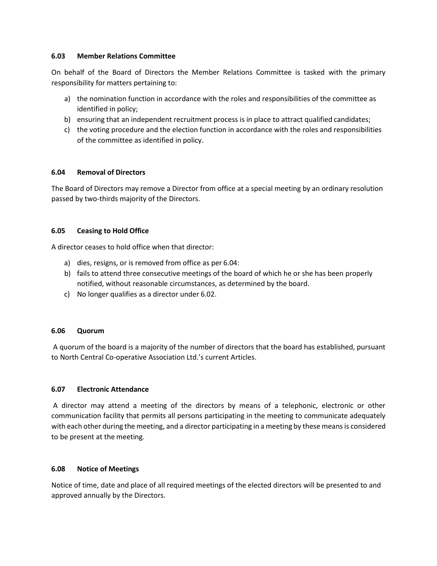#### **6.03 Member Relations Committee**

On behalf of the Board of Directors the Member Relations Committee is tasked with the primary responsibility for matters pertaining to:

- a) the nomination function in accordance with the roles and responsibilities of the committee as identified in policy;
- b) ensuring that an independent recruitment process is in place to attract qualified candidates;
- c) the voting procedure and the election function in accordance with the roles and responsibilities of the committee as identified in policy.

### **6.04 Removal of Directors**

The Board of Directors may remove a Director from office at a special meeting by an ordinary resolution passed by two-thirds majority of the Directors.

### **6.05 Ceasing to Hold Office**

A director ceases to hold office when that director:

- a) dies, resigns, or is removed from office as per 6.04:
- b) fails to attend three consecutive meetings of the board of which he or she has been properly notified, without reasonable circumstances, as determined by the board.
- c) No longer qualifies as a director under 6.02.

### **6.06 Quorum**

A quorum of the board is a majority of the number of directors that the board has established, pursuant to North Central Co-operative Association Ltd.'s current Articles.

### **6.07 Electronic Attendance**

A director may attend a meeting of the directors by means of a telephonic, electronic or other communication facility that permits all persons participating in the meeting to communicate adequately with each other during the meeting, and a director participating in a meeting by these means is considered to be present at the meeting.

### **6.08 Notice of Meetings**

Notice of time, date and place of all required meetings of the elected directors will be presented to and approved annually by the Directors.